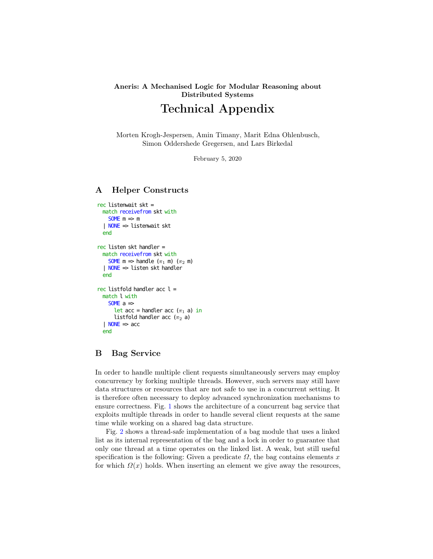## Aneris: A Mechanised Logic for Modular Reasoning about Distributed Systems

# Technical Appendix

Morten Krogh-Jespersen, Amin Timany, Marit Edna Ohlenbusch, Simon Oddershede Gregersen, and Lars Birkedal

February 5, 2020

## A Helper Constructs

```
rec listenwait skt =
  match receivefrom skt with
    SOME m \Rightarrow m| NONE => listenwait skt
  end
rec listen skt handler =
  match receivefrom skt with
    SOME m \Rightarrow handle (\pi_1 \ m) (\pi_2 \ m)| NONE => listen skt handler
  end
rec listfold handler acc l =match l with
    SOME a \Rightarrowlet acc = handler acc (\pi_1 a) in
      listfold handler acc (\pi_2 a)| NONE \Rightarrow acc
  end
```
## B Bag Service

In order to handle multiple client requests simultaneously servers may employ concurrency by forking multiple threads. However, such servers may still have data structures or resources that are not safe to use in a concurrent setting. It is therefore often necessary to deploy advanced synchronization mechanisms to ensure correctness. Fig. [1](#page-1-0) shows the architecture of a concurrent bag service that exploits multiple threads in order to handle several client requests at the same time while working on a shared bag data structure.

Fig. [2](#page-2-0) shows a thread-safe implementation of a bag module that uses a linked list as its internal representation of the bag and a lock in order to guarantee that only one thread at a time operates on the linked list. A weak, but still useful specification is the following: Given a predicate  $\Omega$ , the bag contains elements x for which  $\Omega(x)$  holds. When inserting an element we give away the resources,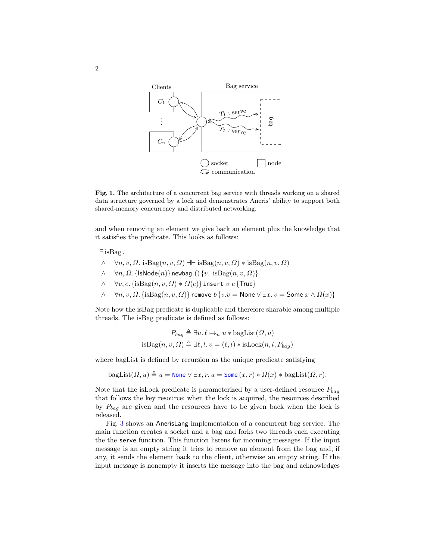

<span id="page-1-0"></span>Fig. 1. The architecture of a concurrent bag service with threads working on a shared data structure governed by a lock and demonstrates Aneris' ability to support both shared-memory concurrency and distributed networking.

and when removing an element we give back an element plus the knowledge that it satisfies the predicate. This looks as follows:

∃ isBag .

- $\wedge \quad \forall n, v, \Omega$ . isBag $(n, v, \Omega) \dashv \text{isBag}(n, v, \Omega) * \text{isBag}(n, v, \Omega)$
- $\wedge \quad \forall n, \Omega$ . {IsNode $(n)$ } newbag  $()$  { $v.$  is $\text{Bag}(n, v, \Omega)$ }
- $\wedge \quad \forall v, e. \{\text{isBag}(n, v, \Omega) * \Omega(e)\}$  insert  $v e \{\text{True}\}$
- $\wedge$   $\forall n, v, Ω$ . {isBag $(n, v, Ω)$ } remove  $b \{v.v =$  None  $\vee \exists x. v =$  Some  $x \wedge Ω(x)$ }

Note how the isBag predicate is duplicable and therefore sharable among multiple threads. The isBag predicate is defined as follows:

$$
P_{bag} \triangleq \exists u.\, \ell \mapsto_n u * \text{bagList}(\Omega, u)
$$
is
$$
\text{isBag}(n, v, \Omega) \triangleq \exists \ell, l. v = (\ell, l) * \text{isLock}(n, l, P_{bag})
$$

where bagList is defined by recursion as the unique predicate satisfying

 $\text{bagList}(\Omega, u) \triangleq u = \text{None} \vee \exists x, r. u = \text{Some}(x, r) * \Omega(x) * \text{bagList}(\Omega, r).$ 

Note that the isLock predicate is parameterized by a user-defined resource  $P_{baq}$ that follows the key resource: when the lock is acquired, the resources described by  $P_{baq}$  are given and the resources have to be given back when the lock is released.

Fig. [3](#page-2-1) shows an AnerisLang implementation of a concurrent bag service. The main function creates a socket and a bag and forks two threads each executing the the serve function. This function listens for incoming messages. If the input message is an empty string it tries to remove an element from the bag and, if any, it sends the element back to the client, otherwise an empty string. If the input message is nonempty it inserts the message into the bag and acknowledges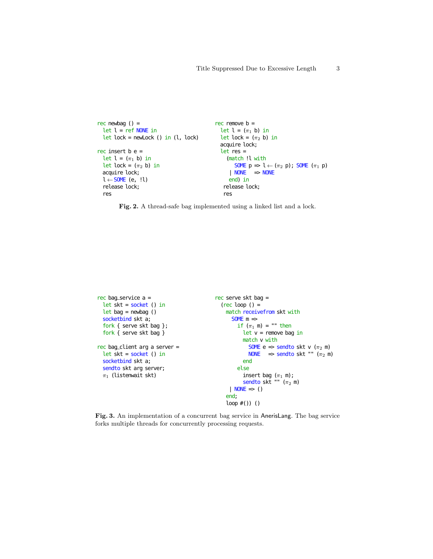```
rec newbag () =let l = ref NONE in
  let lock = newLock () in (l, \text{lock})rec insert b e =
  let l = (\pi_1 b) in
  let lock = (\pi_2 b) in
  acquire lock;
  l \leftarrow SOME (e, !l)
  release lock;
  res
                                                  rec remove b =let l = (\pi_1 b) in
                                                    let lock = (\pi_2 b) in
                                                    acquire lock;
                                                    let res =
                                                       (match !l with
                                                          SOME p \Rightarrow l \leftarrow (\pi_2 p); SOME (\pi_1 p)\mathsf{NONE} \Rightarrow \mathsf{NONE}end) in
                                                      release lock;
                                                      res
```
<span id="page-2-0"></span>Fig. 2. A thread-safe bag implemented using a linked list and a lock.

```
rec bag_service a =
  let skt = socket () in
  let bag = newbag ()socketbind skt a;
  fork { serve skt bag };
  fork { serve skt bag }
rec bag_client arg a server =let skt = socket () in
  socketbind skt a;
  sendto skt arg server;
  \pi_1 (listenwait skt)
                                               rec serve skt bag =
                                                 (rec loop () =match receivefrom skt with
                                                      SOME m \Rightarrowif (\pi_1 \text{ m}) = "" then
                                                          let v = remove bag in
                                                          match v with
                                                             SOME e \Rightarrow sendto skt v (\pi_2 m)
                                                             NONE \Rightarrow sendto skt "" (\pi_2 m)
                                                          end
                                                        else
                                                          insert bag (\pi_1 \text{ m});
                                                          sendto skt "" (\pi_2 \text{ m})| NONE \Rightarrow ()
                                                    end;
                                                    loop #()) ()
```
<span id="page-2-1"></span>Fig. 3. An implementation of a concurrent bag service in AnerisLang. The bag service forks multiple threads for concurrently processing requests.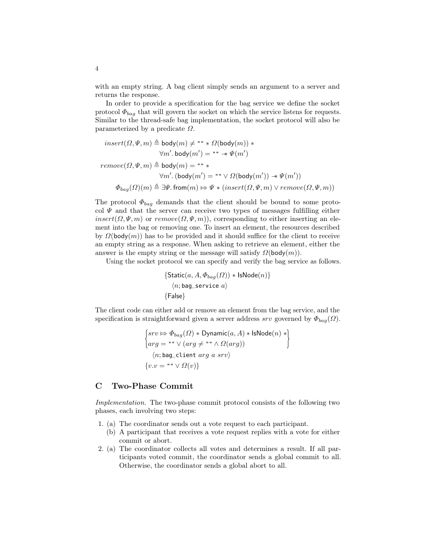with an empty string. A bag client simply sends an argument to a server and returns the response.

In order to provide a specification for the bag service we define the socket protocol  $\Phi_{bag}$  that will govern the socket on which the service listens for requests. Similar to the thread-safe bag implementation, the socket protocol will also be parameterized by a predicate  $\Omega$ .

$$
\begin{aligned} insert(\varOmega,\varPsi,m)&\triangleq{\rm body}(m)\neq\text{""}*\varOmega({\rm body}(m))\ast\\ \forall m'.\,\text{body}(m')&=\text{""}*\varPsi(m')\\ remove(\varOmega,\varPsi,m)&\triangleq{\rm body}(m)=\text{""}*\\\ \forall m'.\,({\rm body}(m')&=\text{""}\vee\varOmega({\rm body}(m'))\twoheadrightarrow\varPsi(m'))\\ \varPhi_{bag}(\varOmega)(m)&\triangleq\exists \varPsi.\,{\rm from}(m)\mapsto \varPsi*(\operatorname{insert}(\varOmega,\varPsi,m)\vee\operatorname{remove}(\varOmega,\varPsi,m))\end{aligned}
$$

The protocol  $\Phi_{baq}$  demands that the client should be bound to some protocol  $\Psi$  and that the server can receive two types of messages fulfilling either  $insert(\Omega, \Psi, m)$  or  $remove(\Omega, \Psi, m)$ , corresponding to either inserting an element into the bag or removing one. To insert an element, the resources described by  $\Omega(\text{body}(m))$  has to be provided and it should suffice for the client to receive an empty string as a response. When asking to retrieve an element, either the answer is the empty string or the message will satisfy  $\Omega(\text{body}(m))$ .

Using the socket protocol we can specify and verify the bag service as follows.

$$
{\text{Static}(a, A, \Phi_{bag}(\Omega)) * \text{IsNode}(n)}
$$
  

$$
\langle n; \text{bag\_service } a \rangle
$$
  

$$
{\text{False}}
$$

The client code can either add or remove an element from the bag service, and the specification is straightforward given a server address srv governed by  $\Phi_{baq}(\Omega)$ .

$$
\begin{cases}\n srv \Rightarrow \Phi_{bag}(\Omega) * \text{Dynamic}(a, A) * \text{IsNode}(n) * \\
 \arg = "\vee(\arg \ne ""\wedge \Omega(\arg)) \\
 \langle n; \text{bag\_client } arg \ a \ srv \rangle \\
 \{v.v = "\vee \Omega(v)\}\n\end{cases}
$$

#### C Two-Phase Commit

Implementation. The two-phase commit protocol consists of the following two phases, each involving two steps:

- 1. (a) The coordinator sends out a vote request to each participant.
	- (b) A participant that receives a vote request replies with a vote for either commit or abort.
- 2. (a) The coordinator collects all votes and determines a result. If all participants voted commit, the coordinator sends a global commit to all. Otherwise, the coordinator sends a global abort to all.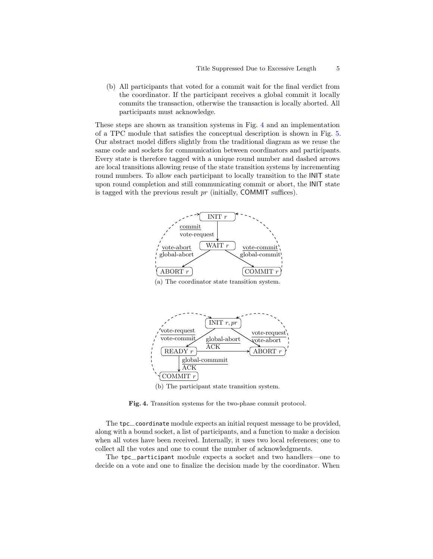(b) All participants that voted for a commit wait for the final verdict from the coordinator. If the participant receives a global commit it locally commits the transaction, otherwise the transaction is locally aborted. All participants must acknowledge.

These steps are shown as transition systems in Fig. [4](#page-4-0) and an implementation of a TPC module that satisfies the conceptual description is shown in Fig. [5.](#page-5-0) Our abstract model differs slightly from the traditional diagram as we reuse the same code and sockets for communication between coordinators and participants. Every state is therefore tagged with a unique round number and dashed arrows are local transitions allowing reuse of the state transition systems by incrementing round numbers. To allow each participant to locally transition to the INIT state upon round completion and still communicating commit or abort, the INIT state is tagged with the previous result  $pr$  (initially, COMMIT suffices).



(a) The coordinator state transition system.



<span id="page-4-0"></span>(b) The participant state transition system.

Fig. 4. Transition systems for the two-phase commit protocol.

The tpc\_coordinate module expects an initial request message to be provided, along with a bound socket, a list of participants, and a function to make a decision when all votes have been received. Internally, it uses two local references; one to collect all the votes and one to count the number of acknowledgments.

The tpc\_\_participant module expects a socket and two handlers—one to decide on a vote and one to finalize the decision made by the coordinator. When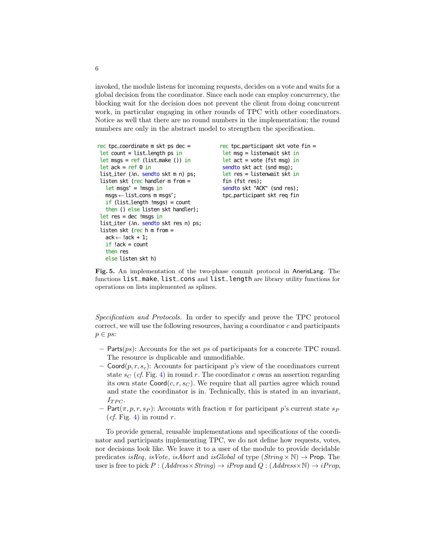invoked, the module listens for incoming requests, decides on a vote and waits for a global decision from the coordinator. Since each node can employ concurrency, the blocking wait for the decision does not prevent the client from doing concurrent work, in particular engaging in other rounds of TPC with other coordinators. Notice as well that there are no round numbers in the implementation; the round numbers are only in the abstract model to strengthen the specification.

```
rec tpc_coordinate m skt ps dec =
let count = list_length ps inlet msgs = ref (list_make ()) in
let ack = ref \theta in
list_iter (λn. sendto skt m n) ps;
listen skt (rec handler m from =
  let msg' = !msgs inmsgs←list__cons m msgs';
  if (list_length !msgs) = count
  then () else listen skt handler);
let res = dec !msgs in
list_iter (\lambdan. sendto skt res n) ps;
listen skt (rec h m from =
  ack \leftarrow !ack + 1:
  if !ack = count
  then res
  else listen skt h)
                                             rec tpc_participant skt vote fin =
                                              let msg = listenwait skt in
                                              let act = vote (fst msg) in
                                              sendto skt act (snd msg);
                                              let res = listenwait skt in
                                              fin (fst res);
                                              sendto skt "ACK" (snd res);
                                              tpc_participant skt req fin
```
<span id="page-5-0"></span>Fig. 5. An implementation of the two-phase commit protocol in AnerisLang. The functions list\_make, list\_cons and list\_length are library utility functions for operations on lists implemented as splines.

Specification and Protocols. In order to specify and prove the TPC protocol correct, we will use the following resources, having a coordinator  $c$  and participants  $p \in ps$ :

- Parts $(ps)$ : Accounts for the set ps of participants for a concrete TPC round. The resource is duplicable and unmodifiable.
- Coord $(p, r, s_c)$ : Accounts for participant p's view of the coordinators current state  $s_C$  (cf. Fig. [4\)](#page-4-0) in round r. The coordinator c owns an assertion regarding its own state  $\text{Coord}(c, r, s_C)$ . We require that all parties agree which round and state the coordinator is in. Technically, this is stated in an invariant,  $I_{TPC}$ .
- Part $(\pi, p, r, s_P)$ : Accounts with fraction  $\pi$  for participant p's current state  $s_P$ (*cf.* Fig. [4\)](#page-4-0) in round r.

To provide general, reusable implementations and specifications of the coordinator and participants implementing TPC, we do not define how requests, votes, nor decisions look like. We leave it to a user of the module to provide decidable predicates isReq, isVote, isAbort and isGlobal of type  $(String \times N) \rightarrow$ Prop. The user is free to pick  $P : (Address \times String) \rightarrow iProp$  and  $Q : (Address \times \mathbb{N}) \rightarrow iProp$ ,

6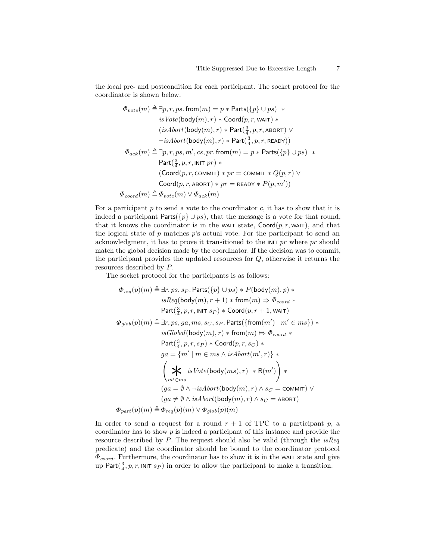the local pre- and postcondition for each participant. The socket protocol for the coordinator is shown below.

$$
\begin{aligned}\Phi_{vote}(m) \triangleq & \exists p, r, ps.\ \text{from}(m) = p * \text{Parts}(\{p\} \cup ps) \; * \\
 & \qquad \qquad is \text{Vote}(\text{body}(m), r) * \text{Coord}(p, r, \text{WAIT}) \; * \\
 & \qquad \qquad (isAbort(\text{body}(m), r) * \text{Part}(\tfrac{3}{4}, p, r, \text{ABORT}) \; \lor \\
 & \qquad \qquad \neg \text{isAbort}(\text{body}(m), r) * \text{Part}(\tfrac{3}{4}, p, r, \text{READY})) \\
 \Phi_{ack}(m) \triangleq & \exists p, r, ps, m', cs, pr.\ \text{from}(m) = p * \text{Parts}(\{p\} \cup ps) \; * \\
 & \qquad \qquad \text{Part}(\tfrac{3}{4}, p, r, \text{INIT}\ pr) * \\
 & \qquad \qquad (\text{Coord}(p, r, \text{COMMIT}) * pr = \text{COMMIT} * Q(p, r) \; \lor \\
 & \qquad \qquad \text{Coord}(p, r, \text{ABORT}) * pr = \text{READY} * P(p, m')) \\
 \Phi_{coord}(m) \triangleq & \Phi_{vote}(m) \lor \Phi_{ack}(m)\n\end{aligned}
$$

For a participant  $p$  to send a vote to the coordinator  $c$ , it has to show that it is indeed a participant Parts( $\{p\} \cup ps$ ), that the message is a vote for that round, that it knows the coordinator is in the WAIT state,  $\text{Coord}(p, r, \text{WAT})$ , and that the logical state of  $p$  matches  $p$ 's actual vote. For the participant to send an acknowledgment, it has to prove it transitioned to the  $\text{INT } pr$  where pr should match the global decision made by the coordinator. If the decision was to commit, the participant provides the updated resources for Q, otherwise it returns the resources described by P.

The socket protocol for the participants is as follows:

$$
\begin{array}{c} \Phi_{req}(p)(m) \triangleq \exists r, ps, s_P.\, \mathsf{Parts}(\{p\} \cup ps) * P(\mathsf{body}(m), p) * \\ \mathit{isReg}(\mathsf{body}(m), r+1) * \mathsf{from}(m) \mathrel{\ensuremath{\mapsto}} \Phi_{coord} * \\ \mathsf{Part}(\frac{3}{4}, p, r, \mathsf{INIT}\ s_P) * \mathsf{Coord}(p, r+1, \mathsf{WAIT}) \\ \Phi_{glob}(p)(m) \triangleq \exists r, ps, ga, ms, s_C, s_P.\, \mathsf{Parts}\{\mathsf{from}(m') \mid m' \in ms\}) * \\ \mathit{isGlobal}(\mathsf{body}(m), r) * \mathsf{from}(m) \mathrel{\ensuremath{\mapsto}} \Phi_{coord} * \\ \mathsf{Part}(\frac{3}{4}, p, r, s_P) * \mathsf{Coord}(p, r, s_C) * \\ \mathit{ga = \{m' \mid m \in ms \land \mathit{isAbort}(m', r)\} *} \\ \left(\bigstar \ \mathrel{\ensuremath{\downarrow}} \ \mathrel{isVote}(\mathsf{body}(ms), r) * \mathsf{R}(m')\right) * \\ \left(\mathrel{\ensuremath{\downarrow}} \ \mathrel{\ensuremath{\downarrow}} \ \mathrel{isVote}(\mathsf{body}(m), r) \land s_C = \mathsf{COMMIT}}) \lor \\ \Phi_{part}(p)(m) \triangleq \Phi_{req}(p)(m) \lor \Phi_{glob}(p)(m) \end{array}
$$

In order to send a request for a round  $r + 1$  of TPC to a participant p, a coordinator has to show  $p$  is indeed a participant of this instance and provide the resource described by  $P$ . The request should also be valid (through the *isReq* predicate) and the coordinator should be bound to the coordinator protocol  $\Phi_{coord}$ . Furthermore, the coordinator has to show it is in the WAIT state and give up Part $(\frac{3}{4}, p, r, \text{init } s_P)$  in order to allow the participant to make a transition.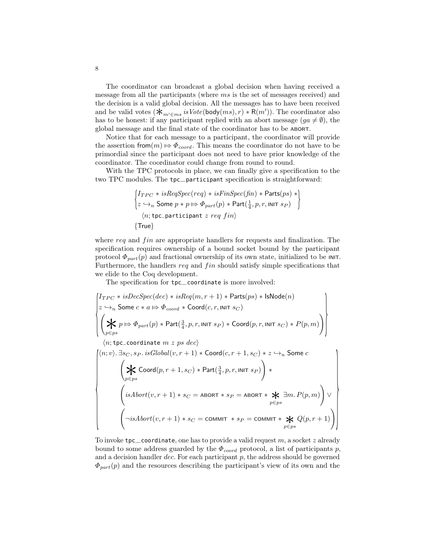The coordinator can broadcast a global decision when having received a message from all the participants (where ms is the set of messages received) and the decision is a valid global decision. All the messages has to have been received and be valid votes  $(\mathbf{\mathsf{*}}_{m' \in ms} \text{ is } Vote(\text{body}(ms), r) * R(m'))$ . The coordinator also has to be honest: if any participant replied with an abort message  $(ga \neq \emptyset)$ , the global message and the final state of the coordinator has to be ABORT.

Notice that for each message to a participant, the coordinator will provide the assertion from $(m) \Rightarrow \Phi_{coord}$ . This means the coordinator do not have to be primordial since the participant does not need to have prior knowledge of the coordinator. The coordinator could change from round to round.

With the TPC protocols in place, we can finally give a specification to the two TPC modules. The tpc\_\_participant specification is straightforward:

$$
\begin{cases}\nI_{TPC} * isReqSpec (req) * isFinSpec (fin) * Parts (ps) * \\
z \hookrightarrow_n \text{ Some } p * p \Rightarrow \Phi_{part}(p) * Part(\frac{1}{4}, p, r, \text{INIT } sp) \\
(n; \text{tpc\_partitionant } z \text{ req } fin) \\
\{\text{True}\}\n\end{cases}
$$

where  $req$  and  $fin$  are appropriate handlers for requests and finalization. The specification requires ownership of a bound socket bound by the participant protocol  $\Phi_{part}(p)$  and fractional ownership of its own state, initialized to be INIT. Furthermore, the handlers  $req$  and  $fin$  should satisfy simple specifications that we elide to the Coq development.

The specification for tpc\_coordinate is more involved:

$$
\begin{pmatrix}I_{TPC} * isDecSpec(dec) * isReq(m, r + 1) * Parts(ps) * IsNode(n) \\ z \hookrightarrow_n \text{ Some } c * a \Rightarrow \Phi_{coord} * \text{Coord}(c, r, \text{init } s_C) \\ \left(\bigstar_p p \Rightarrow \Phi_{part}(p) * \text{Part}(\frac{3}{4}, p, r, \text{init } s_P) * \text{Coord}(p, r, \text{init } s_C) * P(p, m)\right) \\\ \langle n; \text{tpc\_coordinate } m z ps dec \rangle \\ \langle n; \psi \rangle \cdot \exists s_C, s_P. is Global(v, r + 1) * \text{Coord}(c, r + 1, s_C) * z \hookrightarrow_n \text{ Some } c \\ \left(\bigstar_{p \in ps} \text{Coord}(p, r + 1, s_C) * \text{Part}(\frac{3}{4}, p, r, \text{init } s_P)\right) * \\ \left( isAbort(v, r + 1) * s_C = \text{ABORT} * s_P = \text{ABORT} * \bigstar_{p \in ps} \exists m. P(p, m)\right) \vee \\ \left(\neg \text{isAbort}(v, r + 1) * s_C = \text{COMMIT} * s_P = \text{COMMIT} * \bigstar_{p \in ps} Q(p, r + 1)\right) \end{pmatrix}
$$

To invoke tpc\_coordinate, one has to provide a valid request  $m$ , a socket  $z$  already bound to some address guarded by the  $\Phi_{coord}$  protocol, a list of participants p, and a decision handler  $dec$ . For each participant  $p$ , the address should be governed  $\Phi_{part}(p)$  and the resources describing the participant's view of its own and the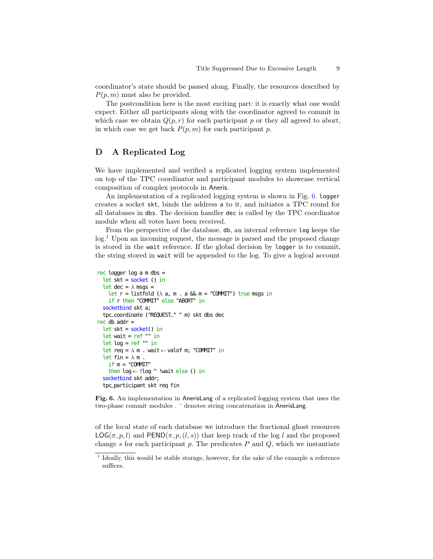coordinator's state should be passed along. Finally, the resources described by  $P(p, m)$  must also be provided.

The postcondition here is the most exciting part: it is exactly what one would expect. Either all participants along with the coordinator agreed to commit in which case we obtain  $Q(p, r)$  for each participant p or they all agreed to abort, in which case we get back  $P(p, m)$  for each participant p.

#### D A Replicated Log

We have implemented and verified a replicated logging system implemented on top of the TPC coordinator and participant modules to showcase vertical composition of complex protocols in Aneris.

An implementation of a replicated logging system is shown in Fig. [6.](#page-8-0) logger creates a socket skt, binds the address a to it, and initiates a TPC round for all databases in dbs. The decision handler dec is called by the TPC coordinator module when all votes have been received.

From the perspective of the database, db, an internal reference log keeps the  $log<sup>1</sup>$  $log<sup>1</sup>$  $log<sup>1</sup>$  Upon an incoming request, the message is parsed and the proposed change is stored in the wait reference. If the global decision by logger is to commit, the string stored in wait will be appended to the log. To give a logical account

```
rec logger log a m dbs =
  let skt = socket () in
  let dec = \lambda msgs =
    let r = listfold (\lambda a, m \cdot a \& m = "COMIIT") true msgs in
    if r then "COMMIT" else "ABORT" in
  socketbind skt a;
  tpc__coordinate ("REQUEST__" ^ m) skt dbs dec
rec db addr =let skt = socket() in
  let wait = ref "" in
  let log = ref "" in
  let req = \lambda m . wait ← valof m; "COMMIT" in
  let fin = \lambda m.
    if m = "COMMIT"
    then log←!log ^ !wait else () in
  socketbind skt addr;
  tpc_participant skt req fin
```
<span id="page-8-0"></span>Fig. 6. An implementation in AnerisLang of a replicated logging system that uses the two-phase commit modules . ˆ denotes string concatenation in AnerisLang.

of the local state of each database we introduce the fractional ghost resources  $LOG(\pi, p, l)$  and  $PEND(\pi, p, (l, s))$  that keep track of the log l and the proposed change s for each participant  $p$ . The predicates  $P$  and  $Q$ , which we instantiate

<span id="page-8-1"></span><sup>&</sup>lt;sup>1</sup> Ideally, this would be stable storage, however, for the sake of the example a reference suffices.